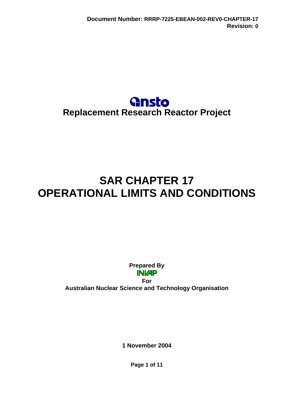

# <span id="page-0-0"></span>**SAR CHAPTER 17 OPERATIONAL LIMITS AND CONDITIONS**

**Prepared By INVAP** 

**For Australian Nuclear Science and Technology Organisation** 

**1 November 2004** 

**Page 1 of 11**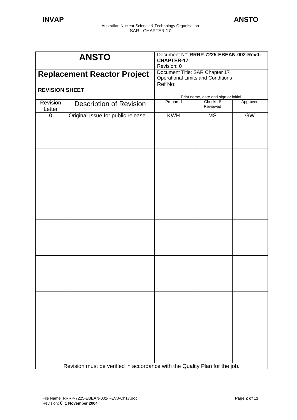| Document Title: SAR Chapter 17<br><b>Replacement Reactor Project</b><br><b>Operational Limits and Conditions</b><br>Ref No:<br><b>REVISION SHEET</b><br>Print name, date and sign or initial<br>Prepared<br>Checked/<br>Approved<br>Revision<br><b>Description of Revision</b><br>Reviewed<br>Letter<br><b>KWH</b><br><b>GW</b><br>Original Issue for public release<br><b>MS</b><br>0 |  |
|----------------------------------------------------------------------------------------------------------------------------------------------------------------------------------------------------------------------------------------------------------------------------------------------------------------------------------------------------------------------------------------|--|
|                                                                                                                                                                                                                                                                                                                                                                                        |  |
|                                                                                                                                                                                                                                                                                                                                                                                        |  |
|                                                                                                                                                                                                                                                                                                                                                                                        |  |
|                                                                                                                                                                                                                                                                                                                                                                                        |  |
|                                                                                                                                                                                                                                                                                                                                                                                        |  |
|                                                                                                                                                                                                                                                                                                                                                                                        |  |
|                                                                                                                                                                                                                                                                                                                                                                                        |  |
|                                                                                                                                                                                                                                                                                                                                                                                        |  |
|                                                                                                                                                                                                                                                                                                                                                                                        |  |
|                                                                                                                                                                                                                                                                                                                                                                                        |  |
|                                                                                                                                                                                                                                                                                                                                                                                        |  |
|                                                                                                                                                                                                                                                                                                                                                                                        |  |
|                                                                                                                                                                                                                                                                                                                                                                                        |  |
|                                                                                                                                                                                                                                                                                                                                                                                        |  |
|                                                                                                                                                                                                                                                                                                                                                                                        |  |
|                                                                                                                                                                                                                                                                                                                                                                                        |  |
|                                                                                                                                                                                                                                                                                                                                                                                        |  |
|                                                                                                                                                                                                                                                                                                                                                                                        |  |
|                                                                                                                                                                                                                                                                                                                                                                                        |  |
|                                                                                                                                                                                                                                                                                                                                                                                        |  |
|                                                                                                                                                                                                                                                                                                                                                                                        |  |
|                                                                                                                                                                                                                                                                                                                                                                                        |  |
|                                                                                                                                                                                                                                                                                                                                                                                        |  |
|                                                                                                                                                                                                                                                                                                                                                                                        |  |
| Revision must be verified in accordance with the Quality Plan for the job.                                                                                                                                                                                                                                                                                                             |  |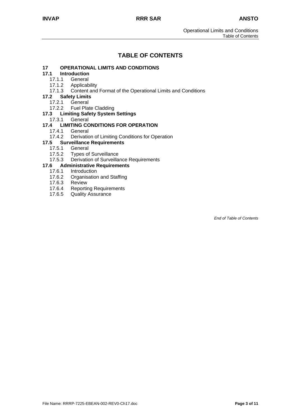## **TABLE OF CONTENTS**

# **17 [OPERATIONAL LIMITS AND CONDITIONS](#page-3-0)**

# **17.1 [Introduction](#page-3-0)**

- **[General](#page-3-0)**
- 17.1.2 [Applicability](#page-3-0)
- 17.1.3 [Content and Format of the Operational Limits and Conditions](#page-4-0)
- **17.2 [Safety Limits](#page-6-0)**
	- 17.2.1 [General](#page-6-0)
		- 17.2.2 [Fuel Plate Cladding](#page-6-0)
- **17.3 [Limiting Safety System Settings](#page-7-0)**
	- 17.3.1 [General](#page-7-0)

# **17.4 [LIMITING CONDITIONS FOR OPERATION](#page-8-0)**

- 
- 17.4.1 [General](#page-8-0)<br>17.4.2 Derivation [Derivation of Limiting Conditions for Operation](#page-8-0)

#### **17.5 [Surveillance Requirements](#page-9-0)**

- 17.5.1 [General](#page-9-0)
- 17.5.2 [Types of Surveillance](#page-9-0)
- 17.5.3 [Derivation of Surveillance Requirements](#page-9-0)

#### **17.6 [Administrative Requirements](#page-10-0)**

- 17.6.1 [Introduction](#page-10-0)
	- 17.6.2 [Organisation and Staffing](#page-10-0)<br>17.6.3 Review
	- 17.6.3 [Review](#page-10-0)<br>17.6.4 Reportii
	- [Reporting Requirements](#page-10-0)
	- 17.6.5 [Quality Assurance](#page-10-0)

*End of Table of Contents*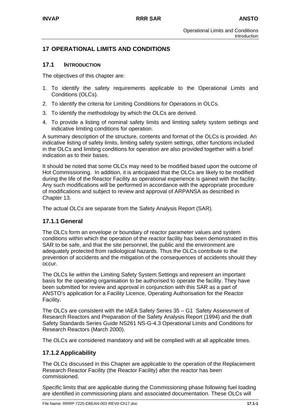## <span id="page-3-0"></span>**17 OPERATIONAL LIMITS AND CONDITIONS**

#### **17.1 INTRODUCTION**

The objectives of this chapter are:

- 1. To identify the safety requirements applicable to the Operational Limits and Conditions (OLCs).
- 2. To identify the criteria for Limiting Conditions for Operations in OLCs.
- 3. To identify the methodology by which the OLCs are derived.
- 4. To provide a listing of nominal safety limits and limiting safety system settings and indicative limiting conditions for operation.

A summary description of the structure, contents and format of the OLCs is provided. An indicative listing of safety limits, limiting safety system settings, other functions included in the OLCs and limiting conditions for operation are also provided together with a brief indication as to their bases.

It should be noted that some OLCs may need to be modified based upon the outcome of Hot Commissioning. In addition, it is anticipated that the OLCs are likely to be modified during the life of the Reactor Facility as operational experience is gained with the facility. Any such modifications will be performed in accordance with the appropriate procedure of modifications and subject to review and approval of ARPANSA as described in Chapter 13.

The actual OLCs are separate from the Safety Analysis Report (SAR).

#### **17.1.1 General**

The OLCs form an envelope or boundary of reactor parameter values and system conditions within which the operation of the reactor facility has been demonstrated in this SAR to be safe, and that the site personnel, the public and the environment are adequately protected from radiological hazards. Thus the OLCs contribute to the prevention of accidents and the mitigation of the consequences of accidents should they occur.

The OLCs lie within the Limiting Safety System Settings and represent an important basis for the operating organisation to be authorised to operate the facility. They have been submitted for review and approval in conjunction with this SAR as a part of ANSTO's application for a Facility Licence, Operating Authorisation for the Reactor Facility.

The OLCs are consistent with the IAEA Safety Series 35 – G1 Safety Assessment of Research Reactors and Preparation of the Safety Analysis Report (1994) and the draft Safety Standards Series Guide NS261 NS-G-4.3 Operational Limits and Conditions for Research Reactors (March 2000).

The OLCs are considered mandatory and will be complied with at all applicable times.

### **17.1.2 Applicability**

The OLCs discussed in this Chapter are applicable to the operation of the Replacement Research Reactor Facility (the Reactor Facility) after the reactor has been commissioned.

Specific limits that are applicable during the Commissioning phase following fuel loading are identified in commissioning plans and associated documentation. These OLCs will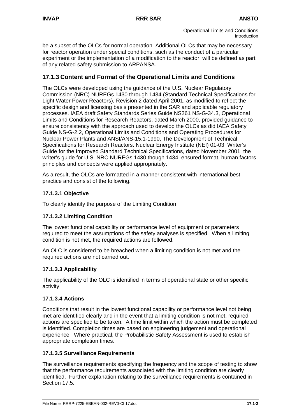<span id="page-4-0"></span>be a subset of the OLCs for normal operation. Additional OLCs that may be necessary for reactor operation under special conditions, such as the conduct of a particular experiment or the implementation of a modification to the reactor, will be defined as part of any related safety submission to ARPANSA.

#### **17.1.3 Content and Format of the Operational Limits and Conditions**

The OLCs were developed using the guidance of the U.S. Nuclear Regulatory Commission (NRC) NUREGs 1430 through 1434 (Standard Technical Specifications for Light Water Power Reactors), Revision 2 dated April 2001, as modified to reflect the specific design and licensing basis presented in the SAR and applicable regulatory processes. IAEA draft Safety Standards Series Guide NS261 NS-G-34.3, Operational Limits and Conditions for Research Reactors, dated March 2000, provided guidance to ensure consistency with the approach used to develop the OLCs as did IAEA Safety Guide NS-G-2.2, Operational Limits and Conditions and Operating Procedures for Nuclear Power Plants and ANSI/ANS-15.1-1990, The Development of Technical Specifications for Research Reactors. Nuclear Energy Institute (NEI) 01-03, Writer's Guide for the Improved Standard Technical Specifications, dated November 2001, the writer's guide for U.S. NRC NUREGs 1430 though 1434, ensured format, human factors principles and concepts were applied appropriately.

As a result, the OLCs are formatted in a manner consistent with international best practice and consist of the following.

#### **17.1.3.1 Objective**

To clearly identify the purpose of the Limiting Condition

#### **17.1.3.2 Limiting Condition**

The lowest functional capability or performance level of equipment or parameters required to meet the assumptions of the safety analyses is specified. When a limiting condition is not met, the required actions are followed.

An OLC is considered to be breached when a limiting condition is not met and the required actions are not carried out.

#### **17.1.3.3 Applicability**

The applicability of the OLC is identified in terms of operational state or other specific activity.

#### **17.1.3.4 Actions**

Conditions that result in the lowest functional capability or performance level not being met are identified clearly and in the event that a limiting condition is not met, required actions are specified to be taken. A time limit within which the action must be completed is identified. Completion times are based on engineering judgement and operational experience. Where practical, the Probabilistic Safety Assessment is used to establish appropriate completion times.

#### **17.1.3.5 Surveillance Requirements**

The surveillance requirements specifying the frequency and the scope of testing to show that the performance requirements associated with the limiting condition are clearly identified. Further explanation relating to the surveillance requirements is contained in Section 17.5.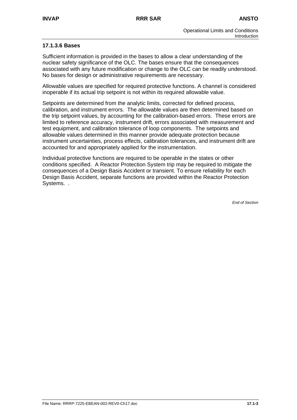#### **17.1.3.6 Bases**

Sufficient information is provided in the bases to allow a clear understanding of the nuclear safety significance of the OLC. The bases ensure that the consequences associated with any future modification or change to the OLC can be readily understood. No bases for design or administrative requirements are necessary.

Allowable values are specified for required protective functions. A channel is considered inoperable if its actual trip setpoint is not within its required allowable value.

Setpoints are determined from the analytic limits, corrected for defined process, calibration, and instrument errors. The allowable values are then determined based on the trip setpoint values, by accounting for the calibration-based errors. These errors are limited to reference accuracy, instrument drift, errors associated with measurement and test equipment, and calibration tolerance of loop components. The setpoints and allowable values determined in this manner provide adequate protection because instrument uncertainties, process effects, calibration tolerances, and instrument drift are accounted for and appropriately applied for the instrumentation.

Individual protective functions are required to be operable in the states or other conditions specified. A Reactor Protection System trip may be required to mitigate the consequences of a Design Basis Accident or transient. To ensure reliability for each Design Basis Accident, separate functions are provided within the Reactor Protection Systems. .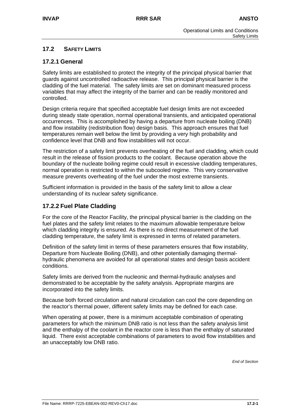#### <span id="page-6-0"></span>**17.2 SAFETY LIMITS**

#### **17.2.1 General**

Safety limits are established to protect the integrity of the principal physical barrier that guards against uncontrolled radioactive release. This principal physical barrier is the cladding of the fuel material. The safety limits are set on dominant measured process variables that may affect the integrity of the barrier and can be readily monitored and controlled.

Design criteria require that specified acceptable fuel design limits are not exceeded during steady state operation, normal operational transients, and anticipated operational occurrences. This is accomplished by having a departure from nucleate boiling (DNB) and flow instability (redistribution flow) design basis. This approach ensures that fuel temperatures remain well below the limit by providing a very high probability and confidence level that DNB and flow instabilities will not occur.

The restriction of a safety limit prevents overheating of the fuel and cladding, which could result in the release of fission products to the coolant. Because operation above the boundary of the nucleate boiling regime could result in excessive cladding temperatures, normal operation is restricted to within the subcooled regime. This very conservative measure prevents overheating of the fuel under the most extreme transients.

Sufficient information is provided in the basis of the safety limit to allow a clear understanding of its nuclear safety significance.

#### **17.2.2 Fuel Plate Cladding**

For the core of the Reactor Facility, the principal physical barrier is the cladding on the fuel plates and the safety limit relates to the maximum allowable temperature below which cladding integrity is ensured. As there is no direct measurement of the fuel cladding temperature, the safety limit is expressed in terms of related parameters.

Definition of the safety limit in terms of these parameters ensures that flow instability, Departure from Nucleate Boiling (DNB), and other potentially damaging thermalhydraulic phenomena are avoided for all operational states and design basis accident conditions.

Safety limits are derived from the nucleonic and thermal-hydraulic analyses and demonstrated to be acceptable by the safety analysis. Appropriate margins are incorporated into the safety limits.

Because both forced circulation and natural circulation can cool the core depending on the reactor's thermal power, different safety limits may be defined for each case.

When operating at power, there is a minimum acceptable combination of operating parameters for which the minimum DNB ratio is not less than the safety analysis limit and the enthalpy of the coolant in the reactor core is less than the enthalpy of saturated liquid. There exist acceptable combinations of parameters to avoid flow instabilities and an unacceptably low DNB ratio.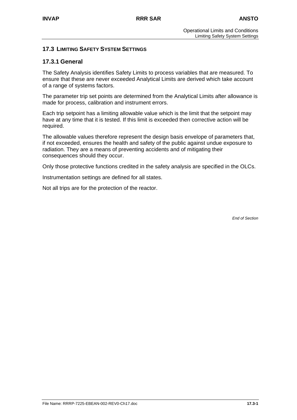#### <span id="page-7-0"></span>**17.3 LIMITING SAFETY SYSTEM SETTINGS**

#### **17.3.1 General**

The Safety Analysis identifies Safety Limits to process variables that are measured. To ensure that these are never exceeded Analytical Limits are derived which take account of a range of systems factors.

The parameter trip set points are determined from the Analytical Limits after allowance is made for process, calibration and instrument errors.

Each trip setpoint has a limiting allowable value which is the limit that the setpoint may have at any time that it is tested. If this limit is exceeded then corrective action will be required.

The allowable values therefore represent the design basis envelope of parameters that, if not exceeded, ensures the health and safety of the public against undue exposure to radiation. They are a means of preventing accidents and of mitigating their consequences should they occur.

Only those protective functions credited in the safety analysis are specified in the OLCs.

Instrumentation settings are defined for all states.

Not all trips are for the protection of the reactor.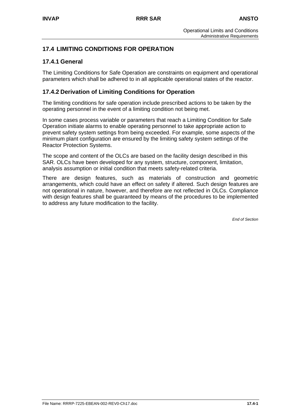# <span id="page-8-0"></span>**17.4 LIMITING CONDITIONS FOR OPERATION**

## **17.4.1 General**

The Limiting Conditions for Safe Operation are constraints on equipment and operational parameters which shall be adhered to in all applicable operational states of the reactor.

# **17.4.2 Derivation of Limiting Conditions for Operation**

The limiting conditions for safe operation include prescribed actions to be taken by the operating personnel in the event of a limiting condition not being met.

In some cases process variable or parameters that reach a Limiting Condition for Safe Operation initiate alarms to enable operating personnel to take appropriate action to prevent safety system settings from being exceeded. For example, some aspects of the minimum plant configuration are ensured by the limiting safety system settings of the Reactor Protection Systems.

The scope and content of the OLCs are based on the facility design described in this SAR. OLCs have been developed for any system, structure, component, limitation, analysis assumption or initial condition that meets safety-related criteria.

There are design features, such as materials of construction and geometric arrangements, which could have an effect on safety if altered. Such design features are not operational in nature, however, and therefore are not reflected in OLCs. Compliance with design features shall be guaranteed by means of the procedures to be implemented to address any future modification to the facility.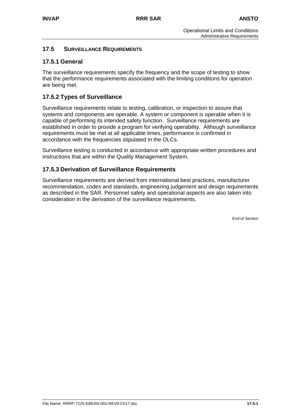#### <span id="page-9-0"></span>**17.5 SURVEILLANCE REQUIREMENTS**

#### **17.5.1 General**

The surveillance requirements specify the frequency and the scope of testing to show that the performance requirements associated with the limiting conditions for operation are being met.

#### **17.5.2 Types of Surveillance**

Surveillance requirements relate to testing, calibration, or inspection to assure that systems and components are operable. A system or component is operable when it is capable of performing its intended safety function. Surveillance requirements are established in order to provide a program for verifying operability. Although surveillance requirements must be met at all applicable times, performance is confirmed in accordance with the frequencies stipulated in the OLCs.

Surveillance testing is conducted in accordance with appropriate written procedures and instructions that are within the Quality Management System.

#### **17.5.3 Derivation of Surveillance Requirements**

Surveillance requirements are derived from international best practices, manufacturer recommendation, codes and standards, engineering judgement and design requirements as described in the SAR. Personnel safety and operational aspects are also taken into consideration in the derivation of the surveillance requirements.